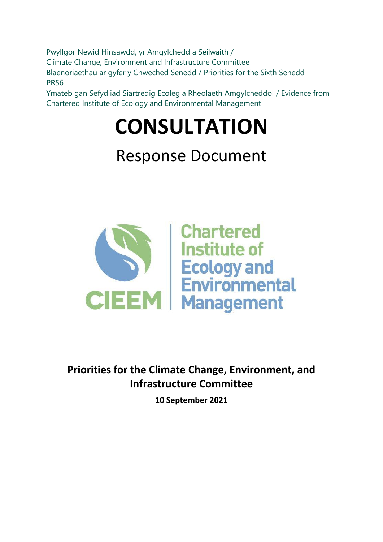Pwyllgor Newid Hinsawdd, yr Amgylchedd a Seilwaith / Climate Change, Environment and Infrastructure Committee [Blaenoriaethau ar gyfer y Chweched Senedd](https://busnes.senedd.cymru/mgConsultationDisplay.aspx?id=427&RPID=1026452002&cp=yes) / Priorities [for the Sixth Senedd](https://business.senedd.wales/mgConsultationDisplay.aspx?id=427&RPID=1026452002&cp=yes) PR56

Ymateb gan Sefydliad Siartredig Ecoleg a Rheolaeth Amgylcheddol / Evidence from Chartered Institute of Ecology and Environmental Management

# **CONSULTATION**

## Response Document



**Priorities for the Climate Change, Environment, and Infrastructure Committee**

**10 September 2021**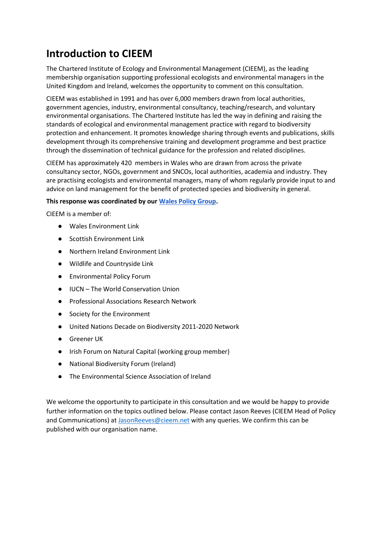### **Introduction to CIEEM**

The Chartered Institute of Ecology and Environmental Management (CIEEM), as the leading membership organisation supporting professional ecologists and environmental managers in the United Kingdom and Ireland, welcomes the opportunity to comment on this consultation.

CIEEM was established in 1991 and has over 6,000 members drawn from local authorities, government agencies, industry, environmental consultancy, teaching/research, and voluntary environmental organisations. The Chartered Institute has led the way in defining and raising the standards of ecological and environmental management practice with regard to biodiversity protection and enhancement. It promotes knowledge sharing through events and publications, skills development through its comprehensive training and development programme and best practice through the dissemination of technical guidance for the profession and related disciplines.

CIEEM has approximately 420 members in Wales who are drawn from across the private consultancy sector, NGOs, government and SNCOs, local authorities, academia and industry. They are practising ecologists and environmental managers, many of whom regularly provide input to and advice on land management for the benefit of protected species and biodiversity in general.

#### **This response was coordinated by our [Wales Policy Group.](https://cieem.net/i-am/influencing-policy/country-policy-working-groups/)**

CIEEM is a member of:

- Wales Environment Link
- Scottish Environment Link
- Northern Ireland Environment Link
- Wildlife and Countryside Link
- Environmental Policy Forum
- IUCN The World Conservation Union
- Professional Associations Research Network
- Society for the Environment
- United Nations Decade on Biodiversity 2011-2020 Network
- Greener UK
- Irish Forum on Natural Capital (working group member)
- National Biodiversity Forum (Ireland)
- The Environmental Science Association of Ireland

We welcome the opportunity to participate in this consultation and we would be happy to provide further information on the topics outlined below. Please contact Jason Reeves (CIEEM Head of Policy and Communications) at [JasonReeves@cieem.net](mailto:JasonReeves@cieem.net) with any queries. We confirm this can be published with our organisation name.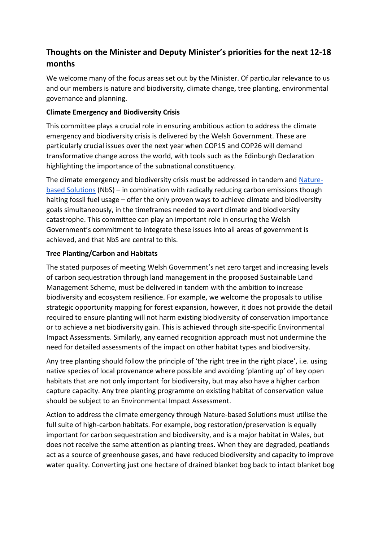#### **Thoughts on the Minister and Deputy Minister's priorities for the next 12-18 months**

We welcome many of the focus areas set out by the Minister. Of particular relevance to us and our members is nature and biodiversity, climate change, tree planting, environmental governance and planning.

#### **Climate Emergency and Biodiversity Crisis**

This committee plays a crucial role in ensuring ambitious action to address the climate emergency and biodiversity crisis is delivered by the Welsh Government. These are particularly crucial issues over the next year when COP15 and COP26 will demand transformative change across the world, with tools such as the Edinburgh Declaration highlighting the importance of the subnational constituency.

The climate emergency and biodiversity crisis must be addressed in tandem and [Nature](https://cieem.net/wp-content/uploads/2020/07/Nature-Based-Solutions-designed.pdf)[based Solutions](https://cieem.net/wp-content/uploads/2020/07/Nature-Based-Solutions-designed.pdf) (NbS) – in combination with radically reducing carbon emissions though halting fossil fuel usage – offer the only proven ways to achieve climate and biodiversity goals simultaneously, in the timeframes needed to avert climate and biodiversity catastrophe. This committee can play an important role in ensuring the Welsh Government's commitment to integrate these issues into all areas of government is achieved, and that NbS are central to this.

#### **Tree Planting/Carbon and Habitats**

The stated purposes of meeting Welsh Government's net zero target and increasing levels of carbon sequestration through land management in the proposed Sustainable Land Management Scheme, must be delivered in tandem with the ambition to increase biodiversity and ecosystem resilience. For example, we welcome the proposals to utilise strategic opportunity mapping for forest expansion, however, it does not provide the detail required to ensure planting will not harm existing biodiversity of conservation importance or to achieve a net biodiversity gain. This is achieved through site-specific Environmental Impact Assessments. Similarly, any earned recognition approach must not undermine the need for detailed assessments of the impact on other habitat types and biodiversity.

Any tree planting should follow the principle of 'the right tree in the right place', i.e. using native species of local provenance where possible and avoiding 'planting up' of key open habitats that are not only important for biodiversity, but may also have a higher carbon capture capacity. Any tree planting programme on existing habitat of conservation value should be subject to an Environmental Impact Assessment.

Action to address the climate emergency through Nature-based Solutions must utilise the full suite of high-carbon habitats. For example, bog restoration/preservation is equally important for carbon sequestration and biodiversity, and is a major habitat in Wales, but does not receive the same attention as planting trees. When they are degraded, peatlands act as a source of greenhouse gases, and have reduced biodiversity and capacity to improve water quality. Converting just one hectare of drained blanket bog back to intact blanket bog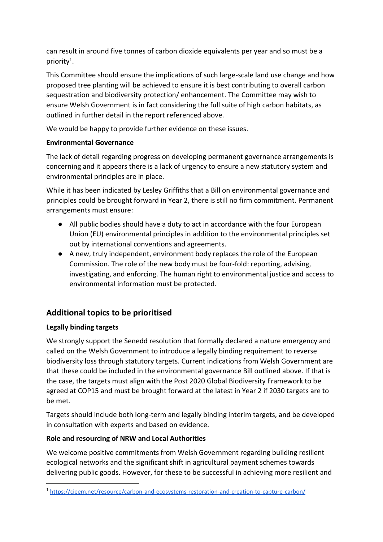can result in around five tonnes of carbon dioxide equivalents per year and so must be a priority<sup>1</sup>.

This Committee should ensure the implications of such large-scale land use change and how proposed tree planting will be achieved to ensure it is best contributing to overall carbon sequestration and biodiversity protection/ enhancement. The Committee may wish to ensure Welsh Government is in fact considering the full suite of high carbon habitats, as outlined in further detail in the report referenced above.

We would be happy to provide further evidence on these issues.

#### **Environmental Governance**

The lack of detail regarding progress on developing permanent governance arrangements is concerning and it appears there is a lack of urgency to ensure a new statutory system and environmental principles are in place.

While it has been indicated by Lesley Griffiths that a Bill on environmental governance and principles could be brought forward in Year 2, there is still no firm commitment. Permanent arrangements must ensure:

- All public bodies should have a duty to act in accordance with the four European Union (EU) environmental principles in addition to the environmental principles set out by international conventions and agreements.
- A new, truly independent, environment body replaces the role of the European Commission. The role of the new body must be four-fold: reporting, advising, investigating, and enforcing. The human right to environmental justice and access to environmental information must be protected.

#### **Additional topics to be prioritised**

#### **Legally binding targets**

We strongly support the Senedd resolution that formally declared a nature emergency and called on the Welsh Government to introduce a legally binding requirement to reverse biodiversity loss through statutory targets. Current indications from Welsh Government are that these could be included in the environmental governance Bill outlined above. If that is the case, the targets must align with the Post 2020 Global Biodiversity Framework to be agreed at COP15 and must be brought forward at the latest in Year 2 if 2030 targets are to be met.

Targets should include both long-term and legally binding interim targets, and be developed in consultation with experts and based on evidence.

#### **Role and resourcing of NRW and Local Authorities**

We welcome positive commitments from Welsh Government regarding building resilient ecological networks and the significant shift in agricultural payment schemes towards delivering public goods. However, for these to be successful in achieving more resilient and

<sup>1</sup> <https://cieem.net/resource/carbon-and-ecosystems-restoration-and-creation-to-capture-carbon/>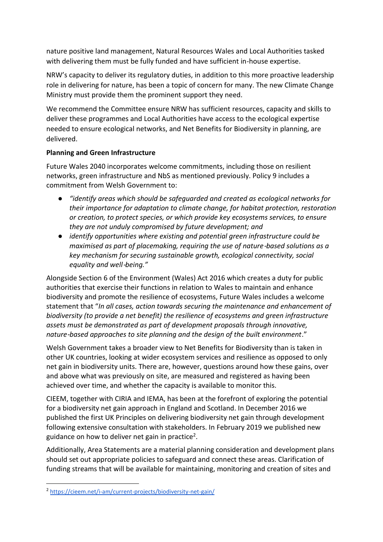nature positive land management, Natural Resources Wales and Local Authorities tasked with delivering them must be fully funded and have sufficient in-house expertise.

NRW's capacity to deliver its regulatory duties, in addition to this more proactive leadership role in delivering for nature, has been a topic of concern for many. The new Climate Change Ministry must provide them the prominent support they need.

We recommend the Committee ensure NRW has sufficient resources, capacity and skills to deliver these programmes and Local Authorities have access to the ecological expertise needed to ensure ecological networks, and Net Benefits for Biodiversity in planning, are delivered.

#### **Planning and Green Infrastructure**

Future Wales 2040 incorporates welcome commitments, including those on resilient networks, green infrastructure and NbS as mentioned previously. Policy 9 includes a commitment from Welsh Government to:

- *"identify areas which should be safeguarded and created as ecological networks for their importance for adaptation to climate change, for habitat protection, restoration or creation, to protect species, or which provide key ecosystems services, to ensure they are not unduly compromised by future development; and*
- *identify opportunities where existing and potential green infrastructure could be maximised as part of placemaking, requiring the use of nature*-based solutions as a *key mechanism for securing sustainable growth, ecological connectivity, social equality and well*‑*being."*

Alongside Section 6 of the Environment (Wales) Act 2016 which creates a duty for public authorities that exercise their functions in relation to Wales to maintain and enhance biodiversity and promote the resilience of ecosystems, Future Wales includes a welcome statement that "*In all cases, action towards securing the maintenance and enhancement of biodiversity (to provide a net benefit) the resilience of ecosystems and green infrastructure assets must be demonstrated as part of development proposals through innovative, nature*‑*based approaches to site planning and the design of the built environment*."

Welsh Government takes a broader view to Net Benefits for Biodiversity than is taken in other UK countries, looking at wider ecosystem services and resilience as opposed to only net gain in biodiversity units. There are, however, questions around how these gains, over and above what was previously on site, are measured and registered as having been achieved over time, and whether the capacity is available to monitor this.

CIEEM, together with CIRIA and IEMA, has been at the forefront of exploring the potential for a biodiversity net gain approach in England and Scotland. In December 2016 we published the first UK Principles on delivering biodiversity net gain through development following extensive consultation with stakeholders. In February 2019 we published new guidance on how to deliver net gain in practice<sup>2</sup>.

Additionally, Area Statements are a material planning consideration and development plans should set out appropriate policies to safeguard and connect these areas. Clarification of funding streams that will be available for maintaining, monitoring and creation of sites and

<sup>&</sup>lt;sup>2</sup> <https://cieem.net/i-am/current-projects/biodiversity-net-gain/>